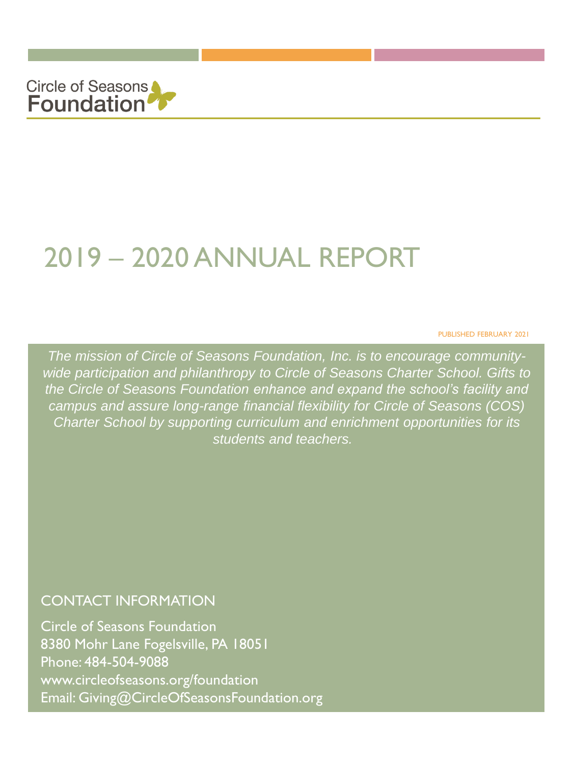

# 2019 – 2020 ANNUAL REPORT

PUBLISHED FEBRUARY 2021

*The mission of Circle of Seasons Foundation, Inc. is to encourage communitywide participation and philanthropy to Circle of Seasons Charter School. Gifts to the Circle of Seasons Foundation enhance and expand the school's facility and campus and assure long-range financial flexibility for Circle of Seasons (COS) Charter School by supporting curriculum and enrichment opportunities for its students and teachers.* 

#### CONTACT INFORMATION

Circle of Seasons Foundation 8380 Mohr Lane Fogelsville, PA 18051 Phone: 484-504-9088 www.circleofseasons.org/foundation Email: Giving@CircleOfSeasonsFoundation.org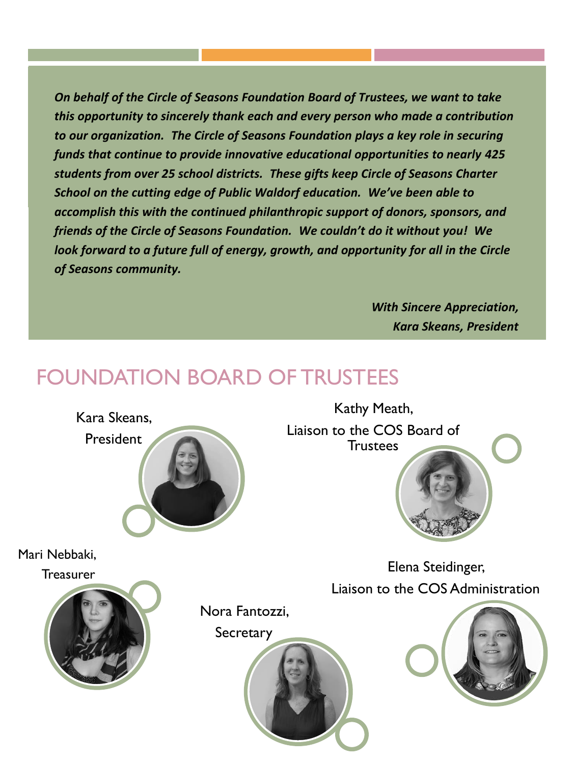*On behalf of the Circle of Seasons Foundation Board of Trustees, we want to take this opportunity to sincerely thank each and every person who made a contribution to our organization. The Circle of Seasons Foundation plays a key role in securing funds that continue to provide innovative educational opportunities to nearly 425 students from over 25 school districts. These gifts keep Circle of Seasons Charter School on the cutting edge of Public Waldorf education. We've been able to accomplish this with the continued philanthropic support of donors, sponsors, and friends of the Circle of Seasons Foundation. We couldn't do it without you! We look forward to a future full of energy, growth, and opportunity for all in the Circle of Seasons community.*

> *With Sincere Appreciation, Kara Skeans, President*

### FOUNDATION BOARD OF TRUSTEES

Mari Nebbaki,

**Treasurer** 



Kara Skeans,

President

Kathy Meath, Liaison to the COS Board of **Trustees** 

> Elena Steidinger, Liaison to the COS Administration



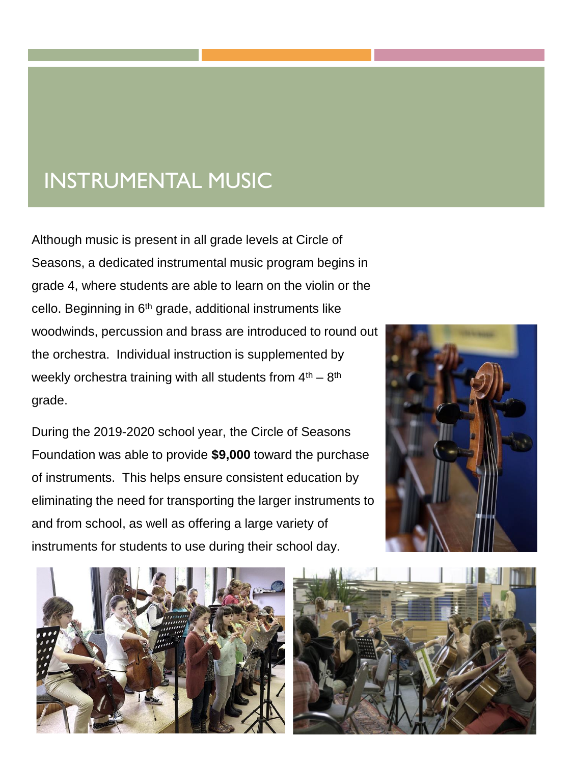### INSTRUMENTAL MUSIC

Although music is present in all grade levels at Circle of Seasons, a dedicated instrumental music program begins in grade 4, where students are able to learn on the violin or the cello. Beginning in 6<sup>th</sup> grade, additional instruments like woodwinds, percussion and brass are introduced to round out the orchestra. Individual instruction is supplemented by weekly orchestra training with all students from  $4<sup>th</sup> - 8<sup>th</sup>$ grade.

During the 2019-2020 school year, the Circle of Seasons Foundation was able to provide **\$9,000** toward the purchase of instruments. This helps ensure consistent education by eliminating the need for transporting the larger instruments to and from school, as well as offering a large variety of instruments for students to use during their school day.





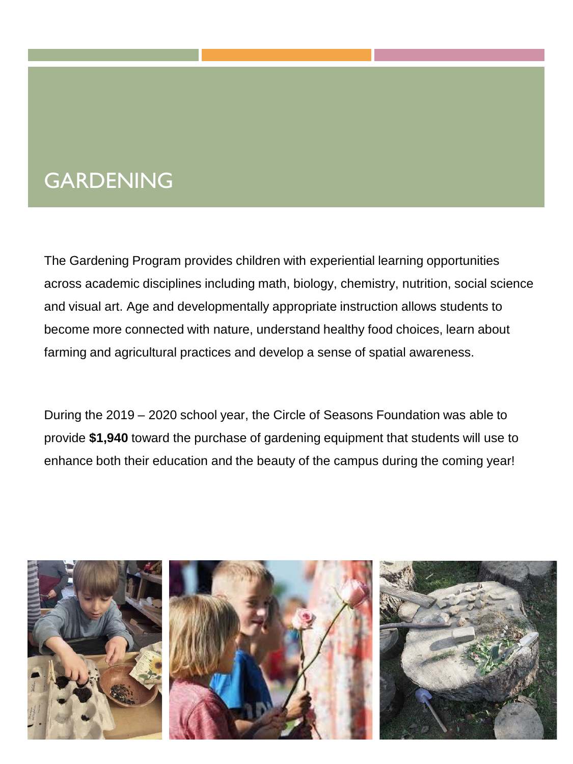### GARDENING

The Gardening Program provides children with experiential learning opportunities across academic disciplines including math, biology, chemistry, nutrition, social science and visual art. Age and developmentally appropriate instruction allows students to become more connected with nature, understand healthy food choices, learn about farming and agricultural practices and develop a sense of spatial awareness.

During the 2019 – 2020 school year, the Circle of Seasons Foundation was able to provide **\$1,940** toward the purchase of gardening equipment that students will use to enhance both their education and the beauty of the campus during the coming year!

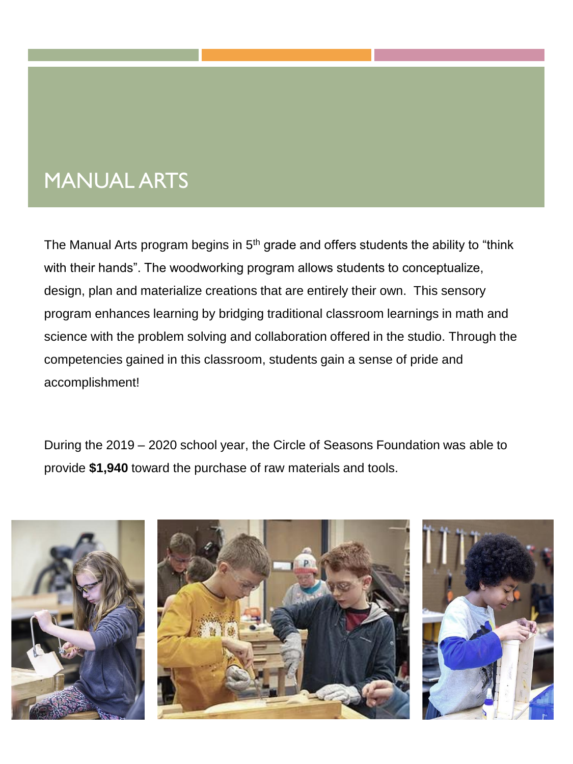### MANUAL ARTS

The Manual Arts program begins in 5<sup>th</sup> grade and offers students the ability to "think with their hands". The woodworking program allows students to conceptualize, design, plan and materialize creations that are entirely their own. This sensory program enhances learning by bridging traditional classroom learnings in math and science with the problem solving and collaboration offered in the studio. Through the competencies gained in this classroom, students gain a sense of pride and accomplishment!

During the 2019 – 2020 school year, the Circle of Seasons Foundation was able to provide **\$1,940** toward the purchase of raw materials and tools.



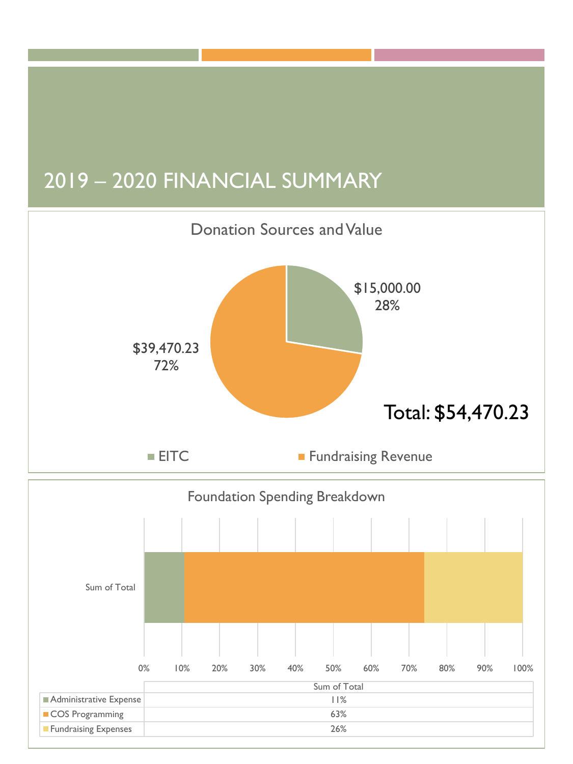## 2019 – 2020 FINANCIAL SUMMARY



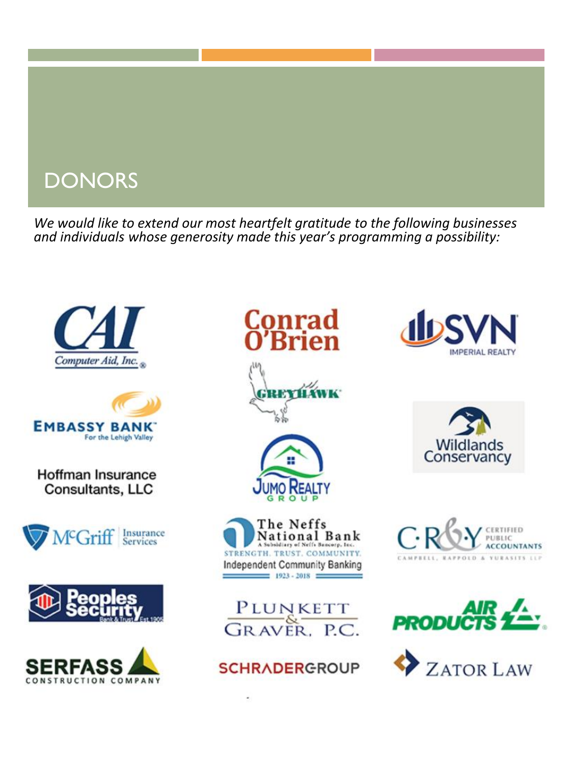### **DONORS**

*We would like to extend our most heartfelt gratitude to the following businesses and individuals whose generosity made this year's programming a possibility:*